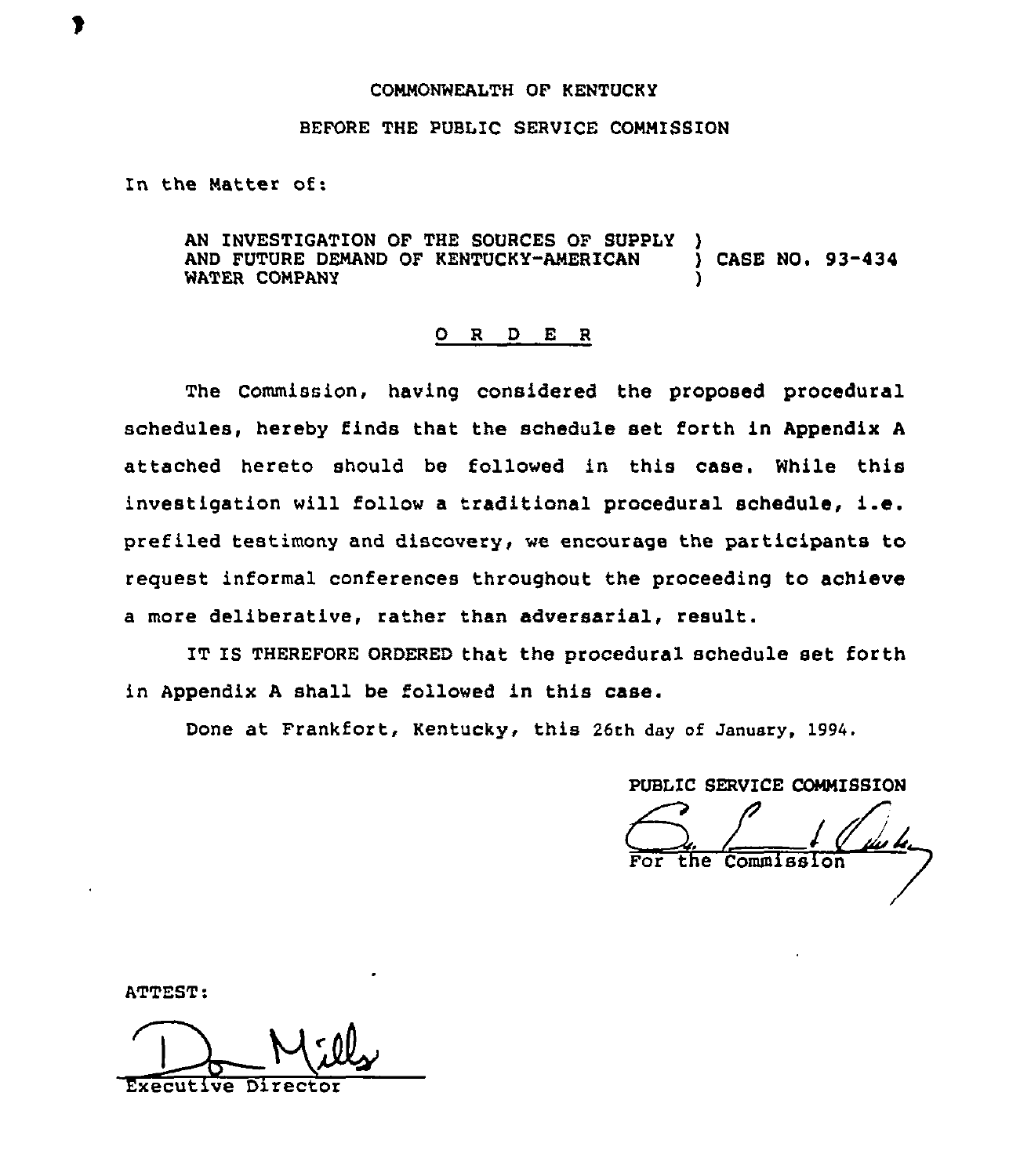## COMMONWEALTH OF KENTUCKY

## BEFORE THE PUBLIC SERVICE COMMISSION

In the Matter of:

AN INVESTIGATION OF THE SOURCES OF SUPPLY AND FUTURE DEMAND OF KENTUCKY-AMERICAN ) CASE NO. 93-434 WATER COMPANY

## 0 <sup>R</sup> <sup>D</sup> E <sup>R</sup>

The Commission, having considered the proposed procedural schedules, hereby finds that the schedule set forth in Appendix A attached hereto should be followed in this case. While this investigation will follow <sup>a</sup> traditional procedural schedule, i.e. prefiled testimony and discovery, we encourage the participants to request informal conferences throughout the proceeding to achieve a more deliberative, rather than adversarial, result.

IT IS THEREFORE ORDERED that the procedural schedule set forth in Appendix <sup>A</sup> shall be followed in this case.

Done at Frankfort, Kentucky, this 26th day of January, 1994.

PUBLIC SERVICE COMMISSION the Commission

ATTEST:

Executive Directo